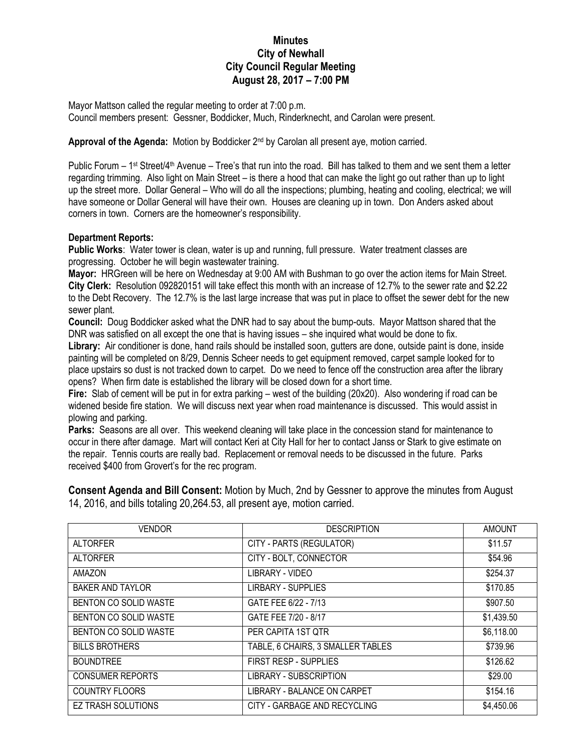## **Minutes City of Newhall City Council Regular Meeting August 28, 2017 – 7:00 PM**

Mayor Mattson called the regular meeting to order at 7:00 p.m. Council members present: Gessner, Boddicker, Much, Rinderknecht, and Carolan were present.

## Approval of the Agenda: Motion by Boddicker 2<sup>nd</sup> by Carolan all present aye, motion carried.

Public Forum – 1<sup>st</sup> Street/4<sup>th</sup> Avenue – Tree's that run into the road. Bill has talked to them and we sent them a letter regarding trimming. Also light on Main Street – is there a hood that can make the light go out rather than up to light up the street more. Dollar General – Who will do all the inspections; plumbing, heating and cooling, electrical; we will have someone or Dollar General will have their own. Houses are cleaning up in town. Don Anders asked about corners in town. Corners are the homeowner's responsibility.

## **Department Reports:**

**Public Works**: Water tower is clean, water is up and running, full pressure. Water treatment classes are progressing. October he will begin wastewater training.

**Mayor:** HRGreen will be here on Wednesday at 9:00 AM with Bushman to go over the action items for Main Street. **City Clerk:** Resolution 092820151 will take effect this month with an increase of 12.7% to the sewer rate and \$2.22 to the Debt Recovery. The 12.7% is the last large increase that was put in place to offset the sewer debt for the new sewer plant.

**Council:** Doug Boddicker asked what the DNR had to say about the bump-outs. Mayor Mattson shared that the DNR was satisfied on all except the one that is having issues – she inquired what would be done to fix.

**Library:** Air conditioner is done, hand rails should be installed soon, gutters are done, outside paint is done, inside painting will be completed on 8/29, Dennis Scheer needs to get equipment removed, carpet sample looked for to place upstairs so dust is not tracked down to carpet. Do we need to fence off the construction area after the library opens? When firm date is established the library will be closed down for a short time.

**Fire:** Slab of cement will be put in for extra parking – west of the building (20x20). Also wondering if road can be widened beside fire station. We will discuss next year when road maintenance is discussed. This would assist in plowing and parking.

Parks: Seasons are all over. This weekend cleaning will take place in the concession stand for maintenance to occur in there after damage. Mart will contact Keri at City Hall for her to contact Janss or Stark to give estimate on the repair. Tennis courts are really bad. Replacement or removal needs to be discussed in the future. Parks received \$400 from Grovert's for the rec program.

**Consent Agenda and Bill Consent:** Motion by Much, 2nd by Gessner to approve the minutes from August 14, 2016, and bills totaling 20,264.53, all present aye, motion carried.

| <b>VENDOR</b>           | <b>DESCRIPTION</b>                | <b>AMOUNT</b> |
|-------------------------|-----------------------------------|---------------|
| <b>ALTORFER</b>         | CITY - PARTS (REGULATOR)          | \$11.57       |
| <b>ALTORFER</b>         | CITY - BOLT, CONNECTOR            | \$54.96       |
| AMAZON                  | LIBRARY - VIDEO                   | \$254.37      |
| <b>BAKER AND TAYLOR</b> | <b>LIRBARY - SUPPLIES</b>         | \$170.85      |
| BENTON CO SOLID WASTE   | GATE FEE 6/22 - 7/13              | \$907.50      |
| BENTON CO SOLID WASTE   | GATE FEE 7/20 - 8/17              | \$1,439.50    |
| BENTON CO SOLID WASTE   | PER CAPITA 1ST QTR                | \$6,118.00    |
| <b>BILLS BROTHERS</b>   | TABLE, 6 CHAIRS, 3 SMALLER TABLES | \$739.96      |
| <b>BOUNDTREE</b>        | FIRST RESP - SUPPLIES             | \$126.62      |
| <b>CONSUMER REPORTS</b> | LIBRARY - SUBSCRIPTION            | \$29.00       |
| <b>COUNTRY FLOORS</b>   | LIBRARY - BALANCE ON CARPET       | \$154.16      |
| EZ TRASH SOLUTIONS      | CITY - GARBAGE AND RECYCLING      | \$4,450.06    |